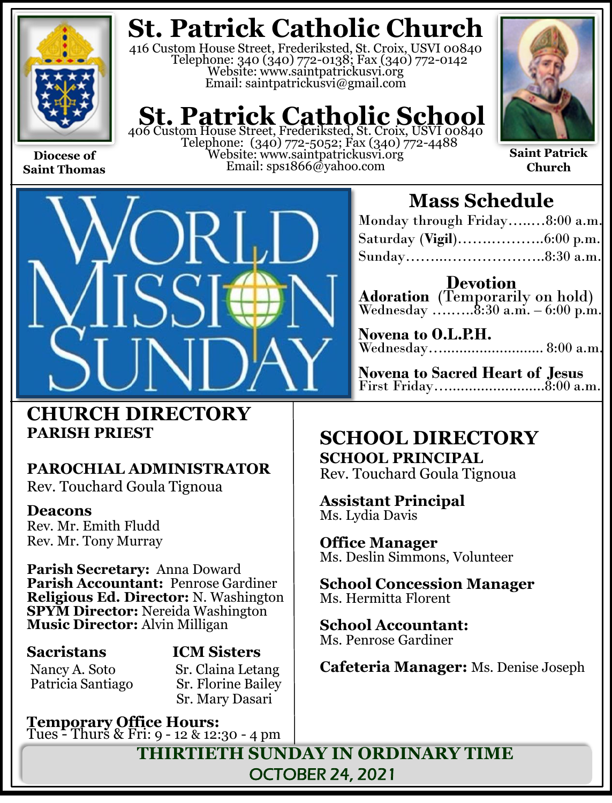

**Saint Thomas**

# **St. Patrick Catholic Church**

416 Custom House Street, Frederiksted, St. Croix, USVI 00840 Telephone: 340 (340) 772-0138; Fax (340) 772-0142 Website: www.saintpatrickusvi.org Email: saintpatrickusvi@gmail.com

# **St. Patrick Catholic School**

406 Custom House Street, Frederiksted, St. Croix, USVI 00840 Telephone: (340) 772-5052; Fax (340) 772-4488 Website: www.saintpatrickusvi.org Email: sps1866@yahoo.com



**Saint Patrick Church**



# **CHURCH DIRECTORY PARISH PRIEST**

# **PAROCHIAL ADMINISTRATOR**

Rev. Touchard Goula Tignoua

## **Deacons**

Rev. Mr. Emith Fludd Rev. Mr. Tony Murray

**Parish Secretary:** Anna Doward **Parish Accountant:** Penrose Gardiner **Religious Ed. Director:** N. Washington **SPYM Director:** Nereida Washington **Music Director:** Alvin Milligan

Nancy A. Soto Sr. Claina Letang<br>Patricia Santiago Sr. Florine Bailey Patricia Santiago

# **Sacristans ICM Sisters**

Sr. Mary Dasari

**Temporary Office Hours:**  Tues - Thurs & Fri: 9 - 12 & 12:30 - 4 pm

# **Mass Schedule**

| Monday through Friday8:00 a.m. |  |
|--------------------------------|--|
|                                |  |
|                                |  |

**Devotion Adoration** (Temporarily on hold)  ${\it We dense} \, {\rm day} \,$   ${\rm ...}$   ${\rm ...}$   $\rm 8:30 \,$   ${\rm a.m.}$  – 6:00  ${\rm p.m.}$ 

| Novena to O.L.P.H.  |  |
|---------------------|--|
| Wednesday 8:00 a.m. |  |

**Novena to Sacred Heart of Jesus** First Friday…........................8:00 a.m.

## **SCHOOL DIRECTORY SCHOOL PRINCIPAL**

Rev. Touchard Goula Tignoua

**Assistant Principal** Ms. Lydia Davis

**Office Manager** Ms. Deslin Simmons, Volunteer

**School Concession Manager** Ms. Hermitta Florent

**School Accountant:**  Ms. Penrose Gardiner

**Cafeteria Manager:** Ms. Denise Joseph

**THIRTIETH SUNDAY IN ORDINARY TIME** OCTOBER 24, 2021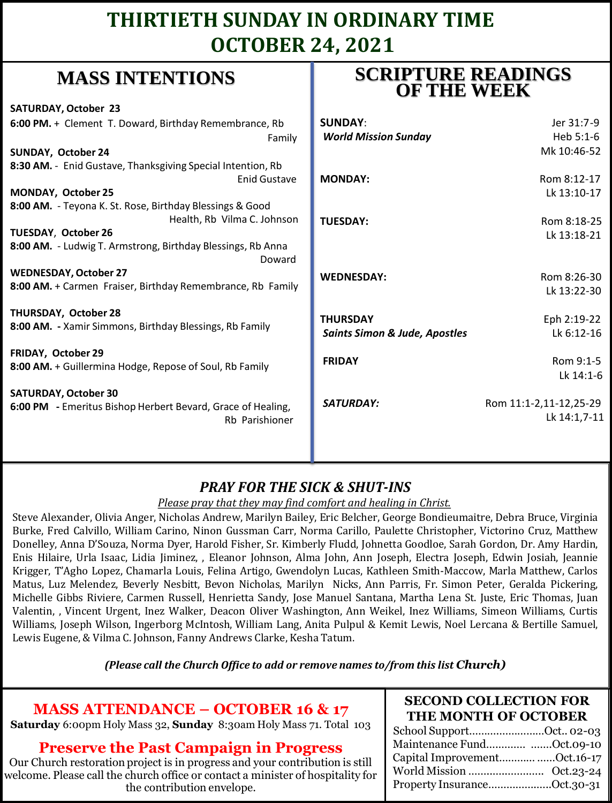# **THIRTIETH SUNDAY IN ORDINARY TIME OCTOBER 24, 2021**

# **MASS INTENTIONS**

| <b>SATURDAY, October 23</b>                                           |                                          |                        |
|-----------------------------------------------------------------------|------------------------------------------|------------------------|
| 6:00 PM. + Clement T. Doward, Birthday Remembrance, Rb                | <b>SUNDAY:</b>                           | Jer 31:7-9             |
| Family                                                                | <b>World Mission Sunday</b>              | Heb 5:1-6              |
| SUNDAY, October 24                                                    |                                          | Mk 10:46-52            |
| 8:30 AM. - Enid Gustave, Thanksgiving Special Intention, Rb           |                                          |                        |
| Enid Gustave                                                          | <b>MONDAY:</b>                           | Rom 8:12-17            |
| MONDAY, October 25                                                    |                                          | Lk 13:10-17            |
| 8:00 AM. - Teyona K. St. Rose, Birthday Blessings & Good              |                                          |                        |
| Health, Rb Vilma C. Johnson                                           | <b>TUESDAY:</b>                          | Rom 8:18-25            |
| TUESDAY, October 26                                                   |                                          | Lk 13:18-21            |
| 8:00 AM. - Ludwig T. Armstrong, Birthday Blessings, Rb Anna<br>Doward |                                          |                        |
| <b>WEDNESDAY, October 27</b>                                          | <b>WEDNESDAY:</b>                        | Rom 8:26-30            |
| 8:00 AM. + Carmen Fraiser, Birthday Remembrance, Rb Family            |                                          | Lk 13:22-30            |
| <b>THURSDAY, October 28</b>                                           | <b>THURSDAY</b>                          | Eph 2:19-22            |
| 8:00 AM. - Xamir Simmons, Birthday Blessings, Rb Family               | <b>Saints Simon &amp; Jude, Apostles</b> | Lk 6:12-16             |
|                                                                       |                                          |                        |
| FRIDAY, October 29                                                    | <b>FRIDAY</b>                            | Rom 9:1-5              |
| 8:00 AM. + Guillermina Hodge, Repose of Soul, Rb Family               |                                          | Lk 14:1-6              |
|                                                                       |                                          |                        |
| <b>SATURDAY, October 30</b>                                           | SATURDAY:                                | Rom 11:1-2,11-12,25-29 |
| 6:00 PM - Emeritus Bishop Herbert Bevard, Grace of Healing,           |                                          | Lk 14:1,7-11           |
| Rb Parishioner                                                        |                                          |                        |
|                                                                       |                                          |                        |
|                                                                       |                                          |                        |

## **PRAY FOR THE SICK & S**

#### *Please pray that they may find comfort and healing in Please pray that they may find comfort*

Steve Alexander, Olivia Anger, Nicholas Andrew, Marilyn Bailey, Eric B Burke, Fred Calvillo, William Carino, Ninon Gussman Carr, Norma Ca Donelley, Anna D'Souza, Norma Dyer, Harold Fisher, Sr. Kimberly Flud Enis Hilaire, Urla Isaac, Lidia Jiminez, , Eleanor Johnson, Alma John, Krigger, T'Agho Lopez, Chamarla Louis, Felina Artigo, Gwendolyn Lucas, Kathleen Smith-Maccow, Marla Matthew, Carlos Matus, Luz Melendez, Beverly Nesbitt, Bevon Nicholas, Marilyn Nicks, Ann Parris, Fr. Simon Peter, Geralda Pickering, Michelle Gibbs Riviere, Carmen Russell, Henrietta Sandy, Jose Manuel Santana, Martha Lena St. Juste, Eric Thomas, Juan Valentin, , Vincent Urgent, Inez Walker, Deacon Oliver Washington, Ann Weikel, Inez Williams, Simeon Williams, Curtis Williams, Joseph Wilson, Ingerborg McIntosh, William Lang, Anita Pulpul & Kemit Lewis, Noel Lercana & Bertille Samuel, Lewis Eugene, & Vilma C. Johnson, Fanny Andrews Clarke, Kesha Tatum.

#### *(Please call the Church Office to add or remove names to/from this list Church)*

### **MASS ATTENDANCE – OCTOBER 16 & 17**

**Saturday** 6:00pm Holy Mass 32, **Sunday** 8:30am Holy Mass 71. Total 103

### **Preserve the Past Campaign in Progress**

Our Church restoration project is in progress and your contribution is still welcome. Please call the church office or contact a minister of hospitality for the contribution envelope.

### **SCRIPTURE READINGS OF THE WEEK**

| <b>DAY:</b>                                                                                                                                                                                                                                                                                                                                                                                                                                                                                                                                                              | Rom 8:18-25<br>Lk 13:18-21 |
|--------------------------------------------------------------------------------------------------------------------------------------------------------------------------------------------------------------------------------------------------------------------------------------------------------------------------------------------------------------------------------------------------------------------------------------------------------------------------------------------------------------------------------------------------------------------------|----------------------------|
| <b>IESDAY:</b>                                                                                                                                                                                                                                                                                                                                                                                                                                                                                                                                                           | Rom 8:26-30<br>Lk 13:22-30 |
| <b>SDAY</b>                                                                                                                                                                                                                                                                                                                                                                                                                                                                                                                                                              | Eph 2:19-22                |
| s Simon & Jude, Apostles                                                                                                                                                                                                                                                                                                                                                                                                                                                                                                                                                 | Lk 6:12-16                 |
| ١Y                                                                                                                                                                                                                                                                                                                                                                                                                                                                                                                                                                       | Rom 9:1-5<br>Lk 14:1-6     |
| <b>RDAY:</b>                                                                                                                                                                                                                                                                                                                                                                                                                                                                                                                                                             | Rom 11:1-2,11-12,25-29     |
|                                                                                                                                                                                                                                                                                                                                                                                                                                                                                                                                                                          | Lk 14:1,7-11               |
|                                                                                                                                                                                                                                                                                                                                                                                                                                                                                                                                                                          |                            |
| SHUT-INS<br><u>and healing in Christ.</u><br>elcher, George Bondieumaitre, Debra Bruce, Virginia<br>rillo, Paulette Christopher, Victorino Cruz, Matthew<br>ld, Johnetta Goodloe, Sarah Gordon, Dr. Amy Hardin,<br>Ann Joseph, Electra Joseph, Edwin Josiah, Jeannie<br>$\mathbf{A}$ and $\mathbf{A}$ and $\mathbf{A}$ and $\mathbf{A}$ and $\mathbf{A}$ and $\mathbf{A}$ and $\mathbf{A}$ and $\mathbf{A}$ and $\mathbf{A}$ and $\mathbf{A}$ and $\mathbf{A}$ and $\mathbf{A}$ and $\mathbf{A}$ and $\mathbf{A}$ and $\mathbf{A}$ and $\mathbf{A}$ and $\mathbf{A}$ and |                            |

### **SECOND COLLECTION FOR THE MONTH OF OCTOBER**

| School SupportOct 02-03      |  |
|------------------------------|--|
| Maintenance Fund Oct.09-10   |  |
| Capital ImprovementOct.16-17 |  |
|                              |  |
| Property InsuranceOct.30-31  |  |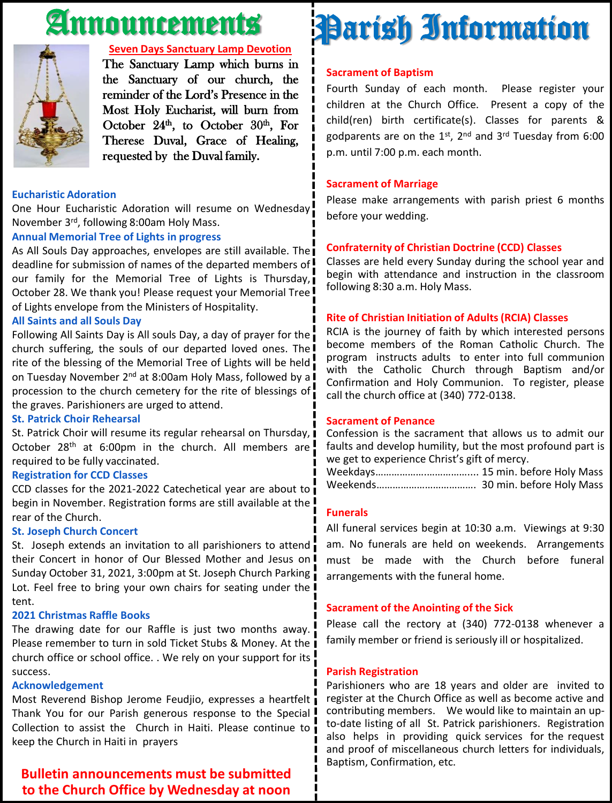# Announcements



#### **Seven Days Sanctuary Lamp Devotion**

The Sanctuary Lamp which burns in the Sanctuary of our church, the reminder of the Lord's Presence in the Most Holy Eucharist, will burn from October  $24<sup>th</sup>$ , to October  $30<sup>th</sup>$ , For Therese Duval, Grace of Healing, requested by the Duval family.

#### **Eucharistic Adoration**

One Hour Eucharistic Adoration will resume on Wednesday November 3<sup>rd</sup>, following 8:00am Holy Mass.

#### **Annual Memorial Tree of Lights in progress**

As All Souls Day approaches, envelopes are still available. The deadline for submission of names of the departed members of our family for the Memorial Tree of Lights is Thursday, October 28. We thank you! Please request your Memorial Tree of Lights envelope from the Ministers of Hospitality.

#### **All Saints and all Souls Day**

Following All Saints Day is All souls Day, a day of prayer for the church suffering, the souls of our departed loved ones. The rite of the blessing of the Memorial Tree of Lights will be held on Tuesday November 2<sup>nd</sup> at 8:00am Holy Mass, followed by a procession to the church cemetery for the rite of blessings of the graves. Parishioners are urged to attend.

#### **St. Patrick Choir Rehearsal**

St. Patrick Choir will resume its regular rehearsal on Thursday,  $\overline{\phantom{a}}$ October 28<sup>th</sup> at 6:00pm in the church. All members are required to be fully vaccinated.

#### **Registration for CCD Classes**

CCD classes for the 2021-2022 Catechetical year are about to begin in November. Registration forms are still available at the ! rear of the Church.

#### **St. Joseph Church Concert**

St. Joseph extends an invitation to all parishioners to attend their Concert in honor of Our Blessed Mother and Jesus on I Sunday October 31, 2021, 3:00pm at St. Joseph Church Parking Lot. Feel free to bring your own chairs for seating under the I tent.

#### **2021 Christmas Raffle Books**

The drawing date for our Raffle is just two months away. Please remember to turn in sold Ticket Stubs & Money. At the  $\overline{\mathbf{I}}$ church office or school office. . We rely on your support for its success.

#### **Acknowledgement**

Most Reverend Bishop Jerome Feudjio, expresses a heartfelt Thank You for our Parish generous response to the Special Collection to assist the Church in Haiti. Please continue to keep the Church in Haiti in prayers

#### **Bulletin announcements must be submitted to the Church Office by Wednesday at noon**

# Parish Information

#### **Sacrament of Baptism**

Fourth Sunday of each month. Please register your children at the Church Office. Present a copy of the child(ren) birth certificate(s). Classes for parents & godparents are on the 1st, 2<sup>nd</sup> and 3<sup>rd</sup> Tuesday from 6:00 p.m. until 7:00 p.m. each month.

#### **Sacrament of Marriage**

Please make arrangements with parish priest 6 months before your wedding.

#### **Confraternity of Christian Doctrine (CCD) Classes**

Classes are held every Sunday during the school year and begin with attendance and instruction in the classroom following 8:30 a.m. Holy Mass.

#### **Rite of Christian Initiation of Adults (RCIA) Classes**

RCIA is the journey of faith by which interested persons become members of the Roman Catholic Church. The program instructs adults to enter into full communion with the Catholic Church through Baptism and/or Confirmation and Holy Communion. To register, please call the church office at (340) 772-0138.

#### **Sacrament of Penance**

Confession is the sacrament that allows us to admit our faults and develop humility, but the most profound part is we get to experience Christ's gift of mercy.

Weekdays……………….…………….... 15 min. before Holy Mass Weekends………………………………. 30 min. before Holy Mass

#### **Funerals**

All funeral services begin at 10:30 a.m. Viewings at 9:30 am. No funerals are held on weekends. Arrangements must be made with the Church before funeral arrangements with the funeral home.

#### **Sacrament of the Anointing of the Sick**

Please call the rectory at (340) 772-0138 whenever a family member or friend is seriously ill or hospitalized.

#### **Parish Registration**

Parishioners who are 18 years and older are invited to register at the Church Office as well as become active and contributing members. We would like to maintain an upto-date listing of all St. Patrick parishioners. Registration also helps in providing quick services for the request and proof of miscellaneous church letters for individuals, Baptism, Confirmation, etc.